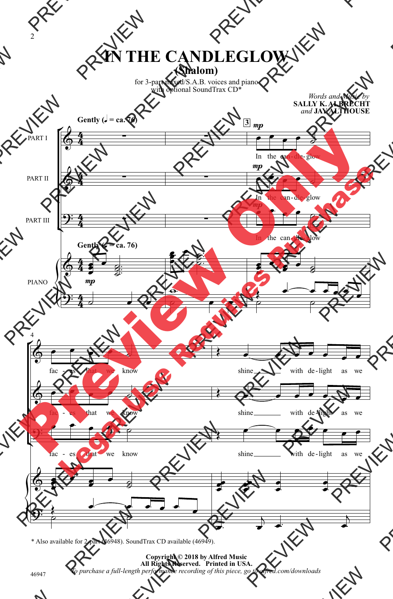## **(Shalom) IN THE CANDLEGLOW**

for 3-part mixed/S.A.B. voices and piano with optional SoundTrax CD<sup>\*</sup>

*Words and Music by*



\* Also available for 2-part (46948). SoundTrax CD available (46949).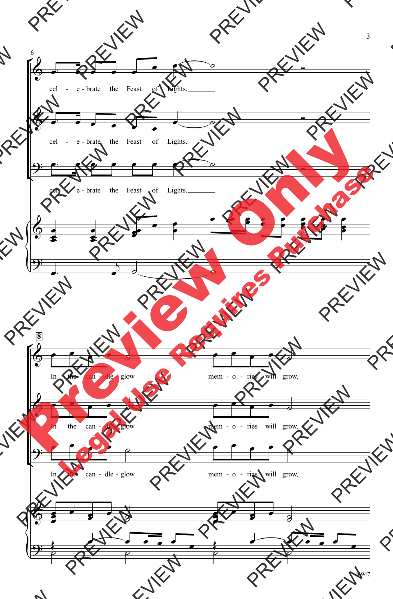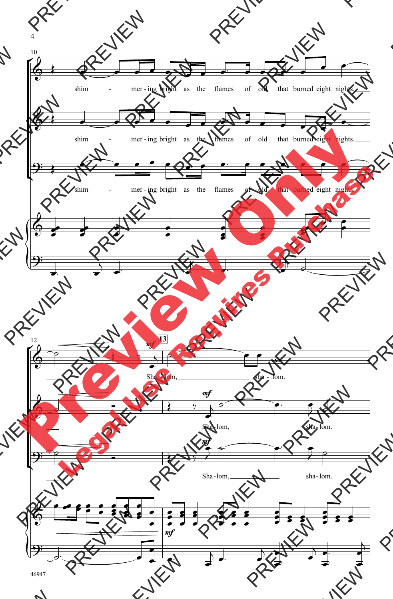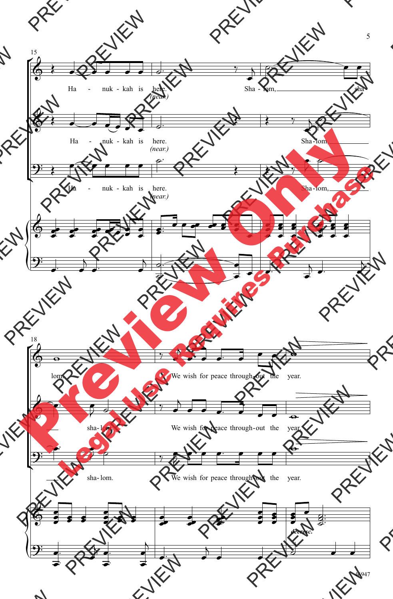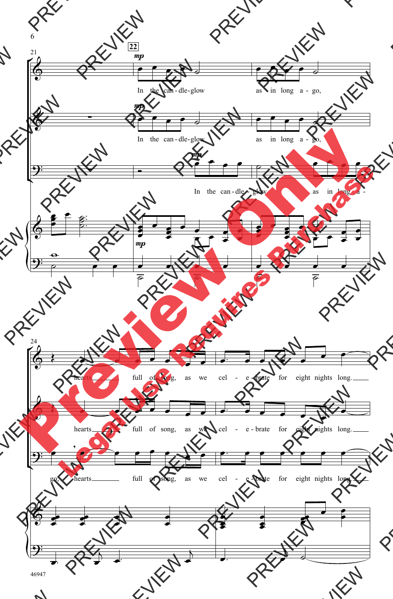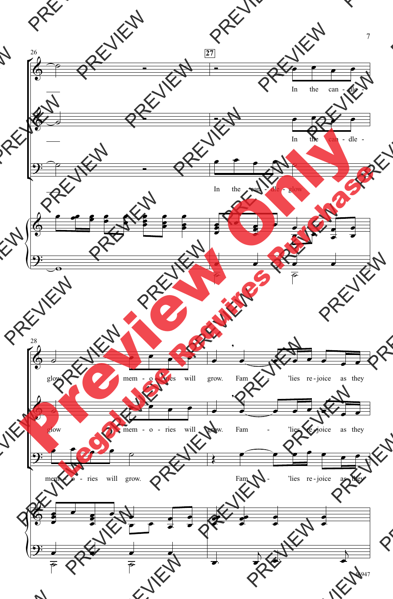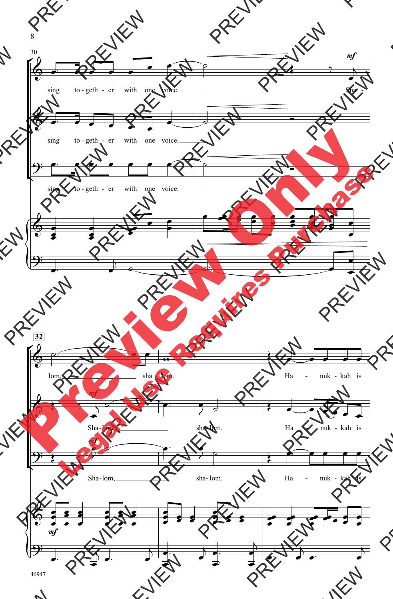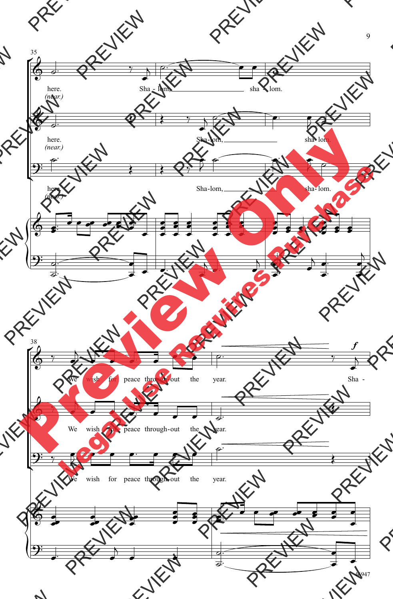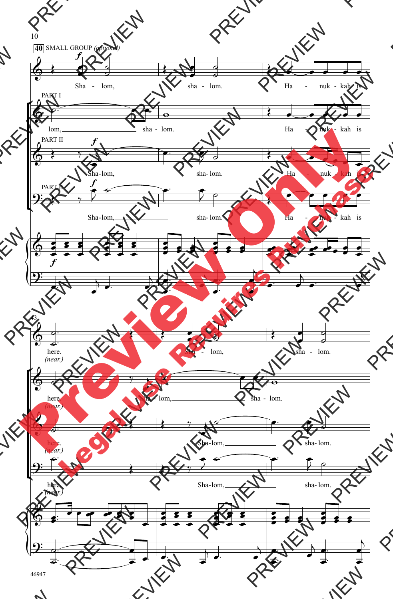